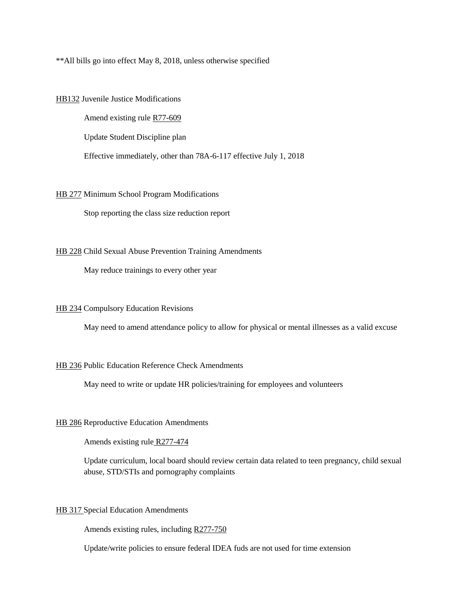\*\*All bills go into effect May 8, 2018, unless otherwise specified

[HB132](https://le.utah.gov/%7E2018/bills/static/HB0132.html) Juvenile Justice Modifications

Amend existing rule [R77-609](https://rules.utah.gov/publicat/code/r277/r277-609.htm) Update Student Discipline plan Effective immediately, other than 78A-6-117 effective July 1, 2018

## [HB 277](https://le.utah.gov/%7E2018/bills/static/HB0227.html) Minimum School Program Modifications

Stop reporting the class size reduction report

## [HB 228](https://le.utah.gov/%7E2018/bills/static/HB0227.html) Child Sexual Abuse Prevention Training Amendments

May reduce trainings to every other year

## [HB 234](https://le.utah.gov/%7E2018/bills/static/HB0234.html) Compulsory Education Revisions

May need to amend attendance policy to allow for physical or mental illnesses as a valid excuse

## [HB 236](https://le.utah.gov/%7E2018/bills/static/HB0236.html) Public Education Reference Check Amendments

May need to write or update HR policies/training for employees and volunteers

## [HB 286](https://le.utah.gov/%7E2018/bills/static/HB0286.html) Reproductive Education Amendments

Amends existing rule [R277-474](https://rules.utah.gov/publicat/code/r277/r277-474.htm)

Update curriculum, local board should review certain data related to teen pregnancy, child sexual abuse, STD/STIs and pornography complaints

## [HB 317 S](https://le.utah.gov/%7E2018/bills/static/HB0286.html)pecial Education Amendments

Amends existing rules, including [R277-750](https://rules.utah.gov/publicat/code/r277/r277-750.htm)

Update/write policies to ensure federal IDEA fuds are not used for time extension